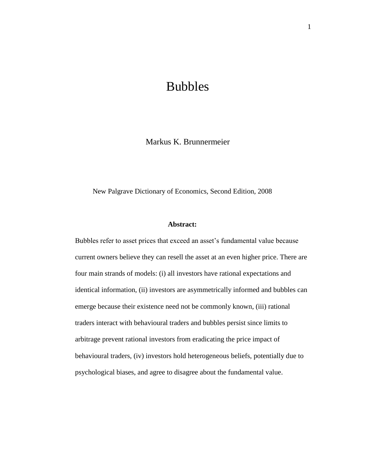# Bubbles

Markus K. Brunnermeier

New Palgrave Dictionary of Economics, Second Edition, 2008

# **Abstract:**

Bubbles refer to asset prices that exceed an asset's fundamental value because current owners believe they can resell the asset at an even higher price. There are four main strands of models: (i) all investors have rational expectations and identical information, (ii) investors are asymmetrically informed and bubbles can emerge because their existence need not be commonly known, (iii) rational traders interact with behavioural traders and bubbles persist since limits to arbitrage prevent rational investors from eradicating the price impact of behavioural traders, (iv) investors hold heterogeneous beliefs, potentially due to psychological biases, and agree to disagree about the fundamental value.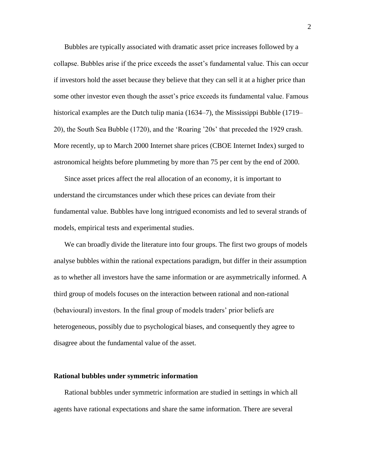Bubbles are typically associated with dramatic asset price increases followed by a collapse. Bubbles arise if the price exceeds the asset's fundamental value. This can occur if investors hold the asset because they believe that they can sell it at a higher price than some other investor even though the asset's price exceeds its fundamental value. Famous historical examples are the Dutch tulip mania (1634–7), the Mississippi Bubble (1719– 20), the South Sea Bubble (1720), and the 'Roaring '20s' that preceded the 1929 crash. More recently, up to March 2000 Internet share prices (CBOE Internet Index) surged to astronomical heights before plummeting by more than 75 per cent by the end of 2000.

Since asset prices affect the real allocation of an economy, it is important to understand the circumstances under which these prices can deviate from their fundamental value. Bubbles have long intrigued economists and led to several strands of models, empirical tests and experimental studies.

We can broadly divide the literature into four groups. The first two groups of models analyse bubbles within the rational expectations paradigm, but differ in their assumption as to whether all investors have the same information or are asymmetrically informed. A third group of models focuses on the interaction between rational and non-rational (behavioural) investors. In the final group of models traders' prior beliefs are heterogeneous, possibly due to psychological biases, and consequently they agree to disagree about the fundamental value of the asset.

#### **Rational bubbles under symmetric information**

Rational bubbles under symmetric information are studied in settings in which all agents have rational expectations and share the same information. There are several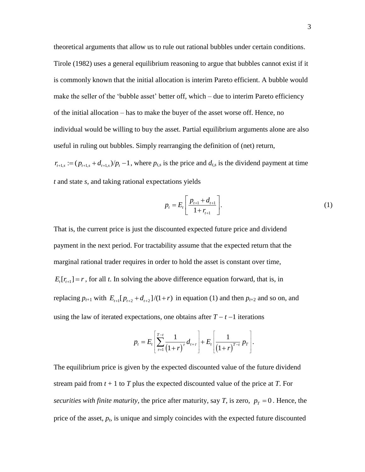theoretical arguments that allow us to rule out rational bubbles under certain conditions. Tirole (1982) uses a general equilibrium reasoning to argue that bubbles cannot exist if it is commonly known that the initial allocation is interim Pareto efficient. A bubble would make the seller of the 'bubble asset' better off, which – due to interim Pareto efficiency of the initial allocation – has to make the buyer of the asset worse off. Hence, no individual would be willing to buy the asset. Partial equilibrium arguments alone are also useful in ruling out bubbles. Simply rearranging the definition of (net) return,

 $r_{t+1,s} := (p_{t+1,s} + d_{t+1,s})/p_t - 1$ , where  $p_{t,s}$  is the price and  $d_{t,s}$  is the dividend payment at time *t* and state *s*, and taking rational expectations yields

$$
p_{t} = E_{t} \left[ \frac{p_{t+1} + d_{t+1}}{1 + r_{t+1}} \right].
$$
 (1)

That is, the current price is just the discounted expected future price and dividend payment in the next period. For tractability assume that the expected return that the marginal rational trader requires in order to hold the asset is constant over time,  $E_t[r_{t+1}] = r$ , for all *t*. In solving the above difference equation forward, that is, in replacing  $p_{t+1}$  with  $E_{t+1}[p_{t+2} + d_{t+2}]/(1+r)$  in equation (1) and then  $p_{t+2}$  and so on, and using the law of iterated expectations, one obtains after  $T - t - 1$  iterations

$$
p_{t} = E_{t} \left[ \sum_{\tau=1}^{T-t} \frac{1}{(1+r)^{\tau}} d_{t+\tau} \right] + E_{t} \left[ \frac{1}{(1+r)^{T-t}} p_{T} \right].
$$

The equilibrium price is given by the expected discounted value of the future dividend stream paid from  $t + 1$  to  $T$  plus the expected discounted value of the price at  $T$ . For securities with finite maturity, the price after maturity, say *T*, is zero,  $p_T = 0$ . Hence, the price of the asset,  $p_t$ , is unique and simply coincides with the expected future discounted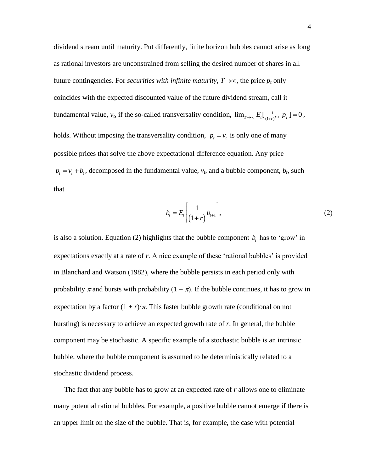dividend stream until maturity. Put differently, finite horizon bubbles cannot arise as long as rational investors are unconstrained from selling the desired number of shares in all future contingencies. For *securities with infinite maturity*,  $T\rightarrow\infty$ , the price  $p_t$  only coincides with the expected discounted value of the future dividend stream, call it fundamental value,  $v_t$ , if the so-called transversality condition,  $\lim_{T\to\infty} E_t[\frac{1}{(1+r)^{T-t}}p_T] = 0$ , holds. Without imposing the transversality condition,  $p_t = v_t$  is only one of many possible prices that solve the above expectational difference equation. Any price  $p_t = v_t + b_t$ , decomposed in the fundamental value,  $v_t$ , and a bubble component,  $b_t$ , such that

$$
b_{t} = E_{t} \left[ \frac{1}{(1+r)} b_{t+1} \right],
$$
 (2)

is also a solution. Equation (2) highlights that the bubble component  $b_t$  has to 'grow' in expectations exactly at a rate of *r*. A nice example of these 'rational bubbles' is provided in Blanchard and Watson (1982), where the bubble persists in each period only with probability  $\pi$  and bursts with probability  $(1 - \pi)$ . If the bubble continues, it has to grow in expectation by a factor  $(1 + r)/\pi$ . This faster bubble growth rate (conditional on not bursting) is necessary to achieve an expected growth rate of *r*. In general, the bubble component may be stochastic. A specific example of a stochastic bubble is an intrinsic bubble, where the bubble component is assumed to be deterministically related to a stochastic dividend process.

The fact that any bubble has to grow at an expected rate of *r* allows one to eliminate many potential rational bubbles. For example, a positive bubble cannot emerge if there is an upper limit on the size of the bubble. That is, for example, the case with potential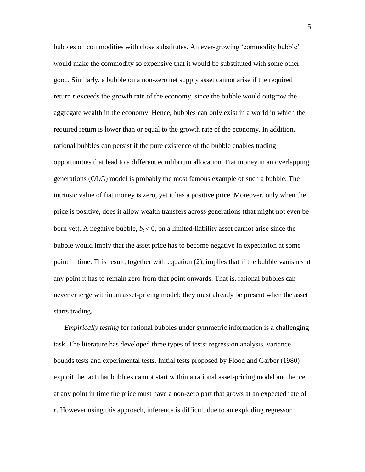bubbles on commodities with close substitutes. An ever-growing 'commodity bubble' would make the commodity so expensive that it would be substituted with some other good. Similarly, a bubble on a non-zero net supply asset cannot arise if the required return *r* exceeds the growth rate of the economy, since the bubble would outgrow the aggregate wealth in the economy. Hence, bubbles can only exist in a world in which the required return is lower than or equal to the growth rate of the economy. In addition, rational bubbles can persist if the pure existence of the bubble enables trading opportunities that lead to a different equilibrium allocation. Fiat money in an overlapping generations (OLG) model is probably the most famous example of such a bubble. The intrinsic value of fiat money is zero, yet it has a positive price. Moreover, only when the price is positive, does it allow wealth transfers across generations (that might not even be born yet). A negative bubble,  $b_t < 0$ , on a limited-liability asset cannot arise since the bubble would imply that the asset price has to become negative in expectation at some point in time. This result, together with equation (2), implies that if the bubble vanishes at any point it has to remain zero from that point onwards. That is, rational bubbles can never emerge within an asset-pricing model; they must already be present when the asset starts trading.

*Empirically testing* for rational bubbles under symmetric information is a challenging task. The literature has developed three types of tests: regression analysis, variance bounds tests and experimental tests. Initial tests proposed by Flood and Garber (1980) exploit the fact that bubbles cannot start within a rational asset-pricing model and hence at any point in time the price must have a non-zero part that grows at an expected rate of *r*. However using this approach, inference is difficult due to an exploding regressor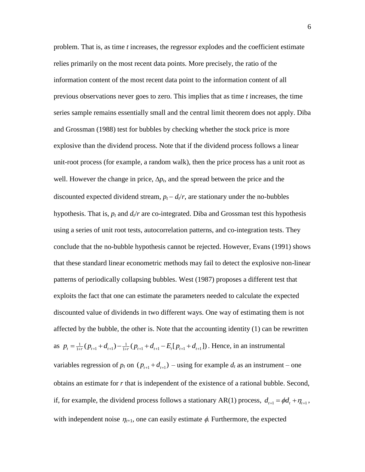problem. That is, as time *t* increases, the regressor explodes and the coefficient estimate relies primarily on the most recent data points. More precisely, the ratio of the information content of the most recent data point to the information content of all previous observations never goes to zero. This implies that as time *t* increases, the time series sample remains essentially small and the central limit theorem does not apply. Diba and Grossman (1988) test for bubbles by checking whether the stock price is more explosive than the dividend process. Note that if the dividend process follows a linear unit-root process (for example, a random walk), then the price process has a unit root as well. However the change in price,  $\Delta p_t$ , and the spread between the price and the discounted expected dividend stream,  $p_t - d_t/r$ , are stationary under the no-bubbles hypothesis. That is,  $p_t$  and  $d_t/r$  are co-integrated. Diba and Grossman test this hypothesis using a series of unit root tests, autocorrelation patterns, and co-integration tests. They conclude that the no-bubble hypothesis cannot be rejected. However, Evans (1991) shows that these standard linear econometric methods may fail to detect the explosive non-linear patterns of periodically collapsing bubbles. West (1987) proposes a different test that exploits the fact that one can estimate the parameters needed to calculate the expected discounted value of dividends in two different ways. One way of estimating them is not affected by the bubble, the other is. Note that the accounting identity (1) can be rewritten affected by the bubble, the other is. Note that the accounting identity (1) can be re<br>as  $p_t = \frac{1}{1+r} (p_{t+1} + d_{t+1}) - \frac{1}{1+r} (p_{t+1} + d_{t+1} - E_t [p_{t+1} + d_{t+1}])$ . Hence, in an instrumental variables regression of  $p_t$  on  $(p_{t+1} + d_{t+1})$  – using for example  $d_t$  as an instrument – one obtains an estimate for *r* that is independent of the existence of a rational bubble. Second, if, for example, the dividend process follows a stationary AR(1) process,  $d_{t+1} = \phi d_t + \eta_{t+1}$ , with independent noise  $\eta_{t+1}$ , one can easily estimate  $\phi$ . Furthermore, the expected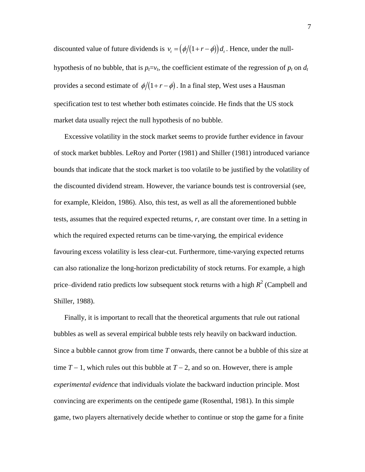discounted value of future dividends is  $v_t = (\phi/(1+r-\phi))d_t$ . Hence, under the nullhypothesis of no bubble, that is  $p_t = v_t$ , the coefficient estimate of the regression of  $p_t$  on  $d_t$ provides a second estimate of  $\phi/(1+r-\phi)$ . In a final step, West uses a Hausman specification test to test whether both estimates coincide. He finds that the US stock market data usually reject the null hypothesis of no bubble.

Excessive volatility in the stock market seems to provide further evidence in favour of stock market bubbles. LeRoy and Porter (1981) and Shiller (1981) introduced variance bounds that indicate that the stock market is too volatile to be justified by the volatility of the discounted dividend stream. However, the variance bounds test is controversial (see, for example, Kleidon, 1986). Also, this test, as well as all the aforementioned bubble tests, assumes that the required expected returns, *r*, are constant over time. In a setting in which the required expected returns can be time-varying, the empirical evidence favouring excess volatility is less clear-cut. Furthermore, time-varying expected returns can also rationalize the long-horizon predictability of stock returns. For example, a high price–dividend ratio predicts low subsequent stock returns with a high  $R^2$  (Campbell and Shiller, 1988).

Finally, it is important to recall that the theoretical arguments that rule out rational bubbles as well as several empirical bubble tests rely heavily on backward induction. Since a bubble cannot grow from time *T* onwards, there cannot be a bubble of this size at time  $T-1$ , which rules out this bubble at  $T-2$ , and so on. However, there is ample *experimental evidence* that individuals violate the backward induction principle. Most convincing are experiments on the centipede game (Rosenthal, 1981). In this simple game, two players alternatively decide whether to continue or stop the game for a finite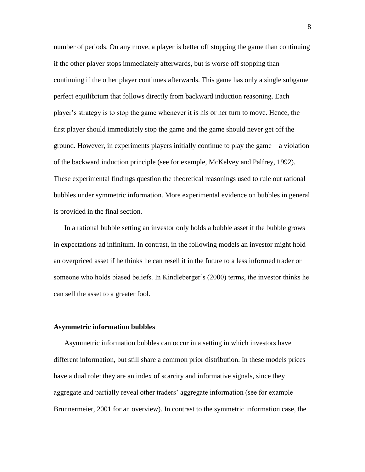number of periods. On any move, a player is better off stopping the game than continuing if the other player stops immediately afterwards, but is worse off stopping than continuing if the other player continues afterwards. This game has only a single subgame perfect equilibrium that follows directly from backward induction reasoning. Each player's strategy is to stop the game whenever it is his or her turn to move. Hence, the first player should immediately stop the game and the game should never get off the ground. However, in experiments players initially continue to play the game – a violation of the backward induction principle (see for example, McKelvey and Palfrey, 1992). These experimental findings question the theoretical reasonings used to rule out rational bubbles under symmetric information. More experimental evidence on bubbles in general is provided in the final section.

In a rational bubble setting an investor only holds a bubble asset if the bubble grows in expectations ad infinitum. In contrast, in the following models an investor might hold an overpriced asset if he thinks he can resell it in the future to a less informed trader or someone who holds biased beliefs. In Kindleberger's (2000) terms, the investor thinks he can sell the asset to a greater fool.

### **Asymmetric information bubbles**

Asymmetric information bubbles can occur in a setting in which investors have different information, but still share a common prior distribution. In these models prices have a dual role: they are an index of scarcity and informative signals, since they aggregate and partially reveal other traders' aggregate information (see for example Brunnermeier, 2001 for an overview). In contrast to the symmetric information case, the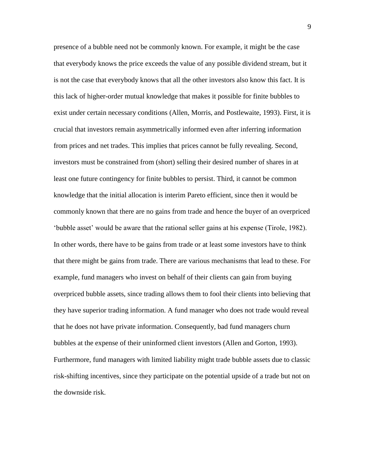presence of a bubble need not be commonly known. For example, it might be the case that everybody knows the price exceeds the value of any possible dividend stream, but it is not the case that everybody knows that all the other investors also know this fact. It is this lack of higher-order mutual knowledge that makes it possible for finite bubbles to exist under certain necessary conditions (Allen, Morris, and Postlewaite, 1993). First, it is crucial that investors remain asymmetrically informed even after inferring information from prices and net trades. This implies that prices cannot be fully revealing. Second, investors must be constrained from (short) selling their desired number of shares in at least one future contingency for finite bubbles to persist. Third, it cannot be common knowledge that the initial allocation is interim Pareto efficient, since then it would be commonly known that there are no gains from trade and hence the buyer of an overpriced 'bubble asset' would be aware that the rational seller gains at his expense (Tirole, 1982). In other words, there have to be gains from trade or at least some investors have to think that there might be gains from trade. There are various mechanisms that lead to these. For example, fund managers who invest on behalf of their clients can gain from buying overpriced bubble assets, since trading allows them to fool their clients into believing that they have superior trading information. A fund manager who does not trade would reveal that he does not have private information. Consequently, bad fund managers churn bubbles at the expense of their uninformed client investors (Allen and Gorton, 1993). Furthermore, fund managers with limited liability might trade bubble assets due to classic risk-shifting incentives, since they participate on the potential upside of a trade but not on the downside risk.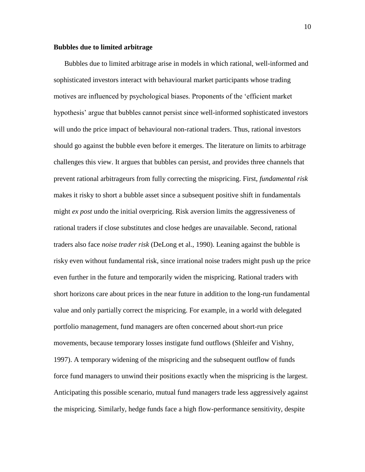# **Bubbles due to limited arbitrage**

Bubbles due to limited arbitrage arise in models in which rational, well-informed and sophisticated investors interact with behavioural market participants whose trading motives are influenced by psychological biases. Proponents of the 'efficient market hypothesis' argue that bubbles cannot persist since well-informed sophisticated investors will undo the price impact of behavioural non-rational traders. Thus, rational investors should go against the bubble even before it emerges. The literature on limits to arbitrage challenges this view. It argues that bubbles can persist, and provides three channels that prevent rational arbitrageurs from fully correcting the mispricing. First, *fundamental risk* makes it risky to short a bubble asset since a subsequent positive shift in fundamentals might *ex post* undo the initial overpricing. Risk aversion limits the aggressiveness of rational traders if close substitutes and close hedges are unavailable. Second, rational traders also face *noise trader risk* (DeLong et al., 1990). Leaning against the bubble is risky even without fundamental risk, since irrational noise traders might push up the price even further in the future and temporarily widen the mispricing. Rational traders with short horizons care about prices in the near future in addition to the long-run fundamental value and only partially correct the mispricing. For example, in a world with delegated portfolio management, fund managers are often concerned about short-run price movements, because temporary losses instigate fund outflows (Shleifer and Vishny, 1997). A temporary widening of the mispricing and the subsequent outflow of funds force fund managers to unwind their positions exactly when the mispricing is the largest. Anticipating this possible scenario, mutual fund managers trade less aggressively against the mispricing. Similarly, hedge funds face a high flow-performance sensitivity, despite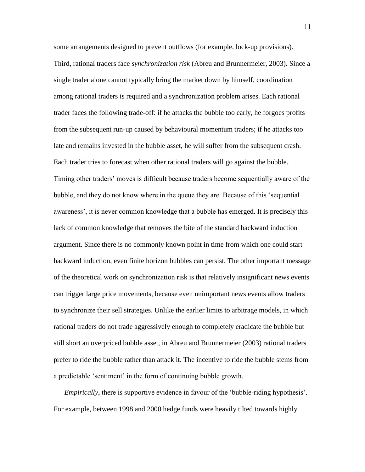some arrangements designed to prevent outflows (for example, lock-up provisions). Third, rational traders face *synchronization risk* (Abreu and Brunnermeier, 2003). Since a single trader alone cannot typically bring the market down by himself, coordination among rational traders is required and a synchronization problem arises. Each rational trader faces the following trade-off: if he attacks the bubble too early, he forgoes profits from the subsequent run-up caused by behavioural momentum traders; if he attacks too late and remains invested in the bubble asset, he will suffer from the subsequent crash. Each trader tries to forecast when other rational traders will go against the bubble. Timing other traders' moves is difficult because traders become sequentially aware of the bubble, and they do not know where in the queue they are. Because of this 'sequential awareness', it is never common knowledge that a bubble has emerged. It is precisely this lack of common knowledge that removes the bite of the standard backward induction argument. Since there is no commonly known point in time from which one could start backward induction, even finite horizon bubbles can persist. The other important message of the theoretical work on synchronization risk is that relatively insignificant news events can trigger large price movements, because even unimportant news events allow traders to synchronize their sell strategies. Unlike the earlier limits to arbitrage models, in which rational traders do not trade aggressively enough to completely eradicate the bubble but still short an overpriced bubble asset, in Abreu and Brunnermeier (2003) rational traders prefer to ride the bubble rather than attack it. The incentive to ride the bubble stems from a predictable 'sentiment' in the form of continuing bubble growth.

*Empirically*, there is supportive evidence in favour of the 'bubble-riding hypothesis'. For example, between 1998 and 2000 hedge funds were heavily tilted towards highly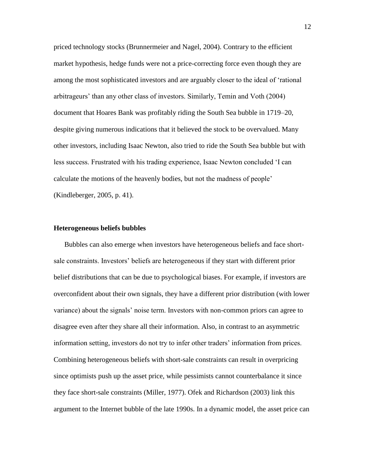priced technology stocks (Brunnermeier and Nagel, 2004). Contrary to the efficient market hypothesis, hedge funds were not a price-correcting force even though they are among the most sophisticated investors and are arguably closer to the ideal of 'rational arbitrageurs' than any other class of investors. Similarly, Temin and Voth (2004) document that Hoares Bank was profitably riding the South Sea bubble in 1719–20, despite giving numerous indications that it believed the stock to be overvalued. Many other investors, including Isaac Newton, also tried to ride the South Sea bubble but with less success. Frustrated with his trading experience, Isaac Newton concluded 'I can calculate the motions of the heavenly bodies, but not the madness of people' (Kindleberger, 2005, p. 41).

#### **Heterogeneous beliefs bubbles**

Bubbles can also emerge when investors have heterogeneous beliefs and face shortsale constraints. Investors' beliefs are heterogeneous if they start with different prior belief distributions that can be due to psychological biases. For example, if investors are overconfident about their own signals, they have a different prior distribution (with lower variance) about the signals' noise term. Investors with non-common priors can agree to disagree even after they share all their information. Also, in contrast to an asymmetric information setting, investors do not try to infer other traders' information from prices. Combining heterogeneous beliefs with short-sale constraints can result in overpricing since optimists push up the asset price, while pessimists cannot counterbalance it since they face short-sale constraints (Miller, 1977). Ofek and Richardson (2003) link this argument to the Internet bubble of the late 1990s. In a dynamic model, the asset price can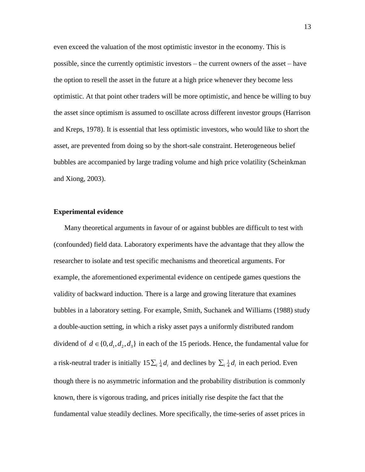even exceed the valuation of the most optimistic investor in the economy. This is possible, since the currently optimistic investors – the current owners of the asset – have the option to resell the asset in the future at a high price whenever they become less optimistic. At that point other traders will be more optimistic, and hence be willing to buy the asset since optimism is assumed to oscillate across different investor groups (Harrison and Kreps, 1978). It is essential that less optimistic investors, who would like to short the asset, are prevented from doing so by the short-sale constraint. Heterogeneous belief bubbles are accompanied by large trading volume and high price volatility (Scheinkman and Xiong, 2003).

## **Experimental evidence**

Many theoretical arguments in favour of or against bubbles are difficult to test with (confounded) field data. Laboratory experiments have the advantage that they allow the researcher to isolate and test specific mechanisms and theoretical arguments. For example, the aforementioned experimental evidence on centipede games questions the validity of backward induction. There is a large and growing literature that examines bubbles in a laboratory setting. For example, Smith, Suchanek and Williams (1988) study a double-auction setting, in which a risky asset pays a uniformly distributed random dividend of  $d \in \{0, d_1, d_2, d_3\}$  in each of the 15 periods. Hence, the fundamental value for a risk-neutral trader is initially  $15\sum_i \frac{1}{4}d_i$  and declines by  $\sum_i \frac{1}{4}d_i$  in each period. Even though there is no asymmetric information and the probability distribution is commonly known, there is vigorous trading, and prices initially rise despite the fact that the fundamental value steadily declines. More specifically, the time-series of asset prices in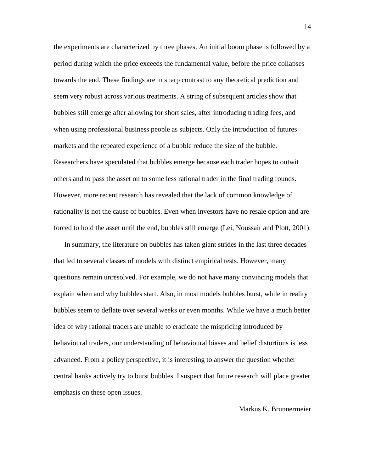the experiments are characterized by three phases. An initial boom phase is followed by a period during which the price exceeds the fundamental value, before the price collapses towards the end. These findings are in sharp contrast to any theoretical prediction and seem very robust across various treatments. A string of subsequent articles show that bubbles still emerge after allowing for short sales, after introducing trading fees, and when using professional business people as subjects. Only the introduction of futures markets and the repeated experience of a bubble reduce the size of the bubble. Researchers have speculated that bubbles emerge because each trader hopes to outwit others and to pass the asset on to some less rational trader in the final trading rounds. However, more recent research has revealed that the lack of common knowledge of rationality is not the cause of bubbles. Even when investors have no resale option and are forced to hold the asset until the end, bubbles still emerge (Lei, Noussair and Plott, 2001).

In summary, the literature on bubbles has taken giant strides in the last three decades that led to several classes of models with distinct empirical tests. However, many questions remain unresolved. For example, we do not have many convincing models that explain when and why bubbles start. Also, in most models bubbles burst, while in reality bubbles seem to deflate over several weeks or even months. While we have a much better idea of why rational traders are unable to eradicate the mispricing introduced by behavioural traders, our understanding of behavioural biases and belief distortions is less advanced. From a policy perspective, it is interesting to answer the question whether central banks actively try to burst bubbles. I suspect that future research will place greater emphasis on these open issues.

## Markus K. Brunnermeier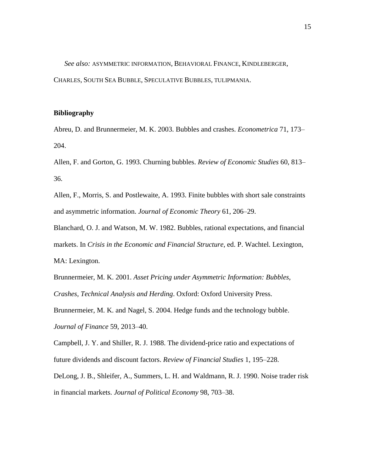*See also:* ASYMMETRIC INFORMATION, BEHAVIORAL FINANCE, KINDLEBERGER, CHARLES, SOUTH SEA BUBBLE, SPECULATIVE BUBBLES, TULIPMANIA.

## **Bibliography**

Abreu, D. and Brunnermeier, M. K. 2003. Bubbles and crashes. *Econometrica* 71, 173– 204.

Allen, F. and Gorton, G. 1993. Churning bubbles. *Review of Economic Studies* 60, 813– 36.

Allen, F., Morris, S. and Postlewaite, A. 1993. Finite bubbles with short sale constraints and asymmetric information. *Journal of Economic Theory* 61, 206–29.

Blanchard, O. J. and Watson, M. W. 1982. Bubbles, rational expectations, and financial markets. In *Crisis in the Economic and Financial Structure*, ed. P. Wachtel. Lexington, MA: Lexington.

Brunnermeier, M. K. 2001. *Asset Pricing under Asymmetric Information: Bubbles, Crashes, Technical Analysis and Herding*. Oxford: Oxford University Press.

Brunnermeier, M. K. and Nagel, S. 2004. Hedge funds and the technology bubble. *Journal of Finance* 59, 2013–40.

Campbell, J. Y. and Shiller, R. J. 1988. The dividend-price ratio and expectations of future dividends and discount factors. *Review of Financial Studies* 1, 195–228.

DeLong, J. B., Shleifer, A., Summers, L. H. and Waldmann, R. J. 1990. Noise trader risk in financial markets. *Journal of Political Economy* 98, 703–38.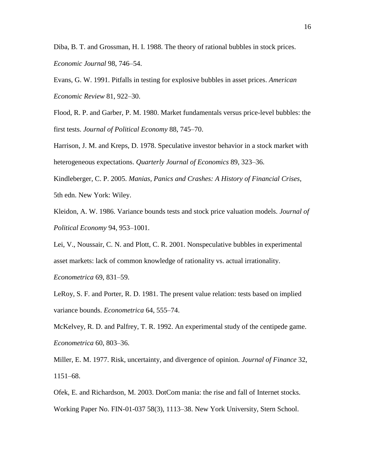Diba, B. T. and Grossman, H. I. 1988. The theory of rational bubbles in stock prices. *Economic Journal* 98, 746–54.

Evans, G. W. 1991. Pitfalls in testing for explosive bubbles in asset prices. *American Economic Review* 81, 922–30.

Flood, R. P. and Garber, P. M. 1980. Market fundamentals versus price-level bubbles: the first tests. *Journal of Political Economy* 88, 745–70.

Harrison, J. M. and Kreps, D. 1978. Speculative investor behavior in a stock market with heterogeneous expectations. *Quarterly Journal of Economics* 89, 323–36.

Kindleberger, C. P. 2005. *Manias, Panics and Crashes: A History of Financial Crises*,

5th edn. New York: Wiley.

Kleidon, A. W. 1986. Variance bounds tests and stock price valuation models. *Journal of Political Economy* 94, 953–1001.

Lei, V., Noussair, C. N. and Plott, C. R. 2001. Nonspeculative bubbles in experimental asset markets: lack of common knowledge of rationality vs. actual irrationality.

*Econometrica* 69, 831–59.

LeRoy, S. F. and Porter, R. D. 1981. The present value relation: tests based on implied variance bounds. *Econometrica* 64, 555–74.

McKelvey, R. D. and Palfrey, T. R. 1992. An experimental study of the centipede game. *Econometrica* 60, 803–36.

Miller, E. M. 1977. Risk, uncertainty, and divergence of opinion. *Journal of Finance* 32, 1151–68.

Ofek, E. and Richardson, M. 2003. DotCom mania: the rise and fall of Internet stocks. Working Paper No. FIN-01-037 58(3), 1113–38. New York University, Stern School.